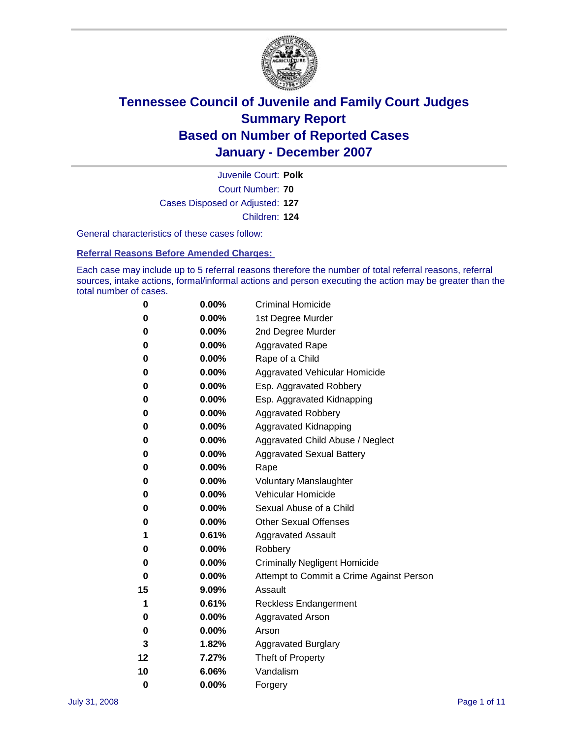

Court Number: **70** Juvenile Court: **Polk** Cases Disposed or Adjusted: **127** Children: **124**

General characteristics of these cases follow:

**Referral Reasons Before Amended Charges:** 

Each case may include up to 5 referral reasons therefore the number of total referral reasons, referral sources, intake actions, formal/informal actions and person executing the action may be greater than the total number of cases.

| 0        | 0.00%    | <b>Criminal Homicide</b>                 |
|----------|----------|------------------------------------------|
| 0        | 0.00%    | 1st Degree Murder                        |
| 0        | 0.00%    | 2nd Degree Murder                        |
| 0        | 0.00%    | <b>Aggravated Rape</b>                   |
| 0        | 0.00%    | Rape of a Child                          |
| 0        | 0.00%    | Aggravated Vehicular Homicide            |
| 0        | 0.00%    | Esp. Aggravated Robbery                  |
| 0        | 0.00%    | Esp. Aggravated Kidnapping               |
| 0        | 0.00%    | <b>Aggravated Robbery</b>                |
| 0        | 0.00%    | Aggravated Kidnapping                    |
| 0        | 0.00%    | Aggravated Child Abuse / Neglect         |
| 0        | 0.00%    | <b>Aggravated Sexual Battery</b>         |
| 0        | 0.00%    | Rape                                     |
| 0        | 0.00%    | <b>Voluntary Manslaughter</b>            |
| 0        | 0.00%    | Vehicular Homicide                       |
| 0        | 0.00%    | Sexual Abuse of a Child                  |
| 0        | 0.00%    | <b>Other Sexual Offenses</b>             |
| 1        | 0.61%    | <b>Aggravated Assault</b>                |
| 0        | 0.00%    | Robbery                                  |
| 0        | 0.00%    | <b>Criminally Negligent Homicide</b>     |
| 0        | 0.00%    | Attempt to Commit a Crime Against Person |
| 15       | 9.09%    | Assault                                  |
| 1        | 0.61%    | <b>Reckless Endangerment</b>             |
| 0        | $0.00\%$ | <b>Aggravated Arson</b>                  |
| 0        | 0.00%    | Arson                                    |
| 3        | 1.82%    | <b>Aggravated Burglary</b>               |
| 12       | 7.27%    | Theft of Property                        |
| 10       | 6.06%    | Vandalism                                |
| $\bf{0}$ | 0.00%    | Forgery                                  |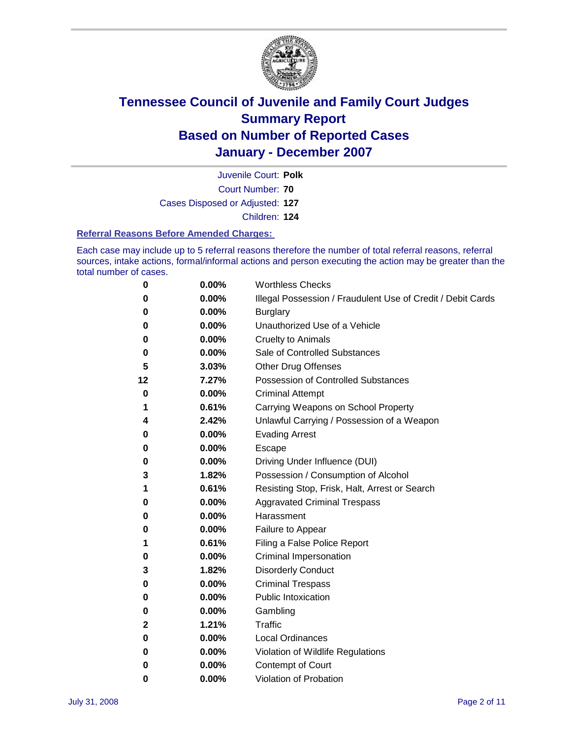

Court Number: **70** Juvenile Court: **Polk** Cases Disposed or Adjusted: **127** Children: **124**

#### **Referral Reasons Before Amended Charges:**

Each case may include up to 5 referral reasons therefore the number of total referral reasons, referral sources, intake actions, formal/informal actions and person executing the action may be greater than the total number of cases.

| 0  | 0.00% | <b>Worthless Checks</b>                                     |
|----|-------|-------------------------------------------------------------|
| 0  | 0.00% | Illegal Possession / Fraudulent Use of Credit / Debit Cards |
| 0  | 0.00% | <b>Burglary</b>                                             |
| 0  | 0.00% | Unauthorized Use of a Vehicle                               |
| 0  | 0.00% | <b>Cruelty to Animals</b>                                   |
| 0  | 0.00% | Sale of Controlled Substances                               |
| 5  | 3.03% | <b>Other Drug Offenses</b>                                  |
| 12 | 7.27% | <b>Possession of Controlled Substances</b>                  |
| 0  | 0.00% | <b>Criminal Attempt</b>                                     |
| 1  | 0.61% | Carrying Weapons on School Property                         |
| 4  | 2.42% | Unlawful Carrying / Possession of a Weapon                  |
| 0  | 0.00% | <b>Evading Arrest</b>                                       |
| 0  | 0.00% | Escape                                                      |
| 0  | 0.00% | Driving Under Influence (DUI)                               |
| 3  | 1.82% | Possession / Consumption of Alcohol                         |
| 1  | 0.61% | Resisting Stop, Frisk, Halt, Arrest or Search               |
| 0  | 0.00% | <b>Aggravated Criminal Trespass</b>                         |
| 0  | 0.00% | Harassment                                                  |
| 0  | 0.00% | Failure to Appear                                           |
| 1  | 0.61% | Filing a False Police Report                                |
| 0  | 0.00% | Criminal Impersonation                                      |
| 3  | 1.82% | <b>Disorderly Conduct</b>                                   |
| 0  | 0.00% | <b>Criminal Trespass</b>                                    |
| 0  | 0.00% | <b>Public Intoxication</b>                                  |
| 0  | 0.00% | Gambling                                                    |
| 2  | 1.21% | Traffic                                                     |
| 0  | 0.00% | <b>Local Ordinances</b>                                     |
| 0  | 0.00% | Violation of Wildlife Regulations                           |
| 0  | 0.00% | Contempt of Court                                           |
| 0  | 0.00% | Violation of Probation                                      |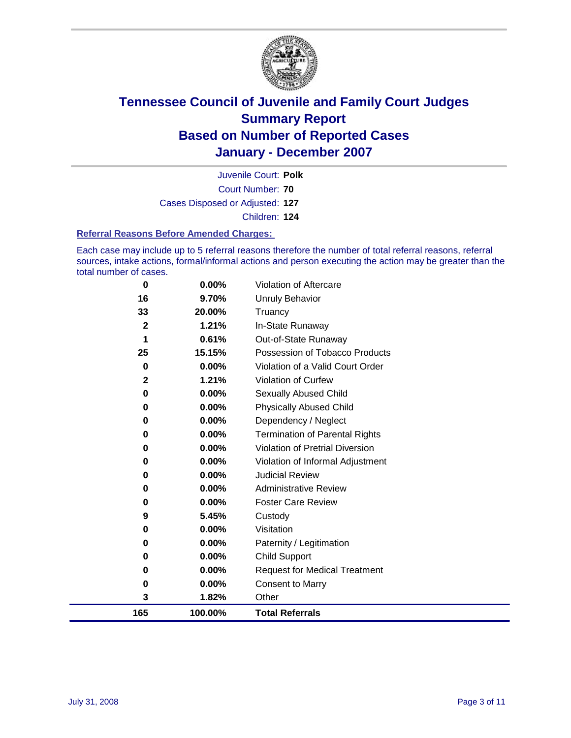

Court Number: **70** Juvenile Court: **Polk** Cases Disposed or Adjusted: **127** Children: **124**

#### **Referral Reasons Before Amended Charges:**

Each case may include up to 5 referral reasons therefore the number of total referral reasons, referral sources, intake actions, formal/informal actions and person executing the action may be greater than the total number of cases.

| $\bf{0}$     | 0.00%    | Violation of Aftercare                 |
|--------------|----------|----------------------------------------|
| 16           | 9.70%    | <b>Unruly Behavior</b>                 |
| 33           | 20.00%   | Truancy                                |
| $\mathbf 2$  | 1.21%    | In-State Runaway                       |
| 1            | 0.61%    | Out-of-State Runaway                   |
| 25           | 15.15%   | Possession of Tobacco Products         |
| 0            | 0.00%    | Violation of a Valid Court Order       |
| $\mathbf{2}$ | 1.21%    | <b>Violation of Curfew</b>             |
| 0            | 0.00%    | <b>Sexually Abused Child</b>           |
| 0            | 0.00%    | <b>Physically Abused Child</b>         |
| 0            | $0.00\%$ | Dependency / Neglect                   |
| 0            | 0.00%    | <b>Termination of Parental Rights</b>  |
| 0            | $0.00\%$ | <b>Violation of Pretrial Diversion</b> |
| 0            | 0.00%    | Violation of Informal Adjustment       |
| 0            | 0.00%    | <b>Judicial Review</b>                 |
| 0            | 0.00%    | <b>Administrative Review</b>           |
| 0            | 0.00%    | <b>Foster Care Review</b>              |
| 9            | 5.45%    | Custody                                |
| 0            | 0.00%    | Visitation                             |
| 0            | 0.00%    | Paternity / Legitimation               |
| 0            | $0.00\%$ | <b>Child Support</b>                   |
| 0            | 0.00%    | <b>Request for Medical Treatment</b>   |
| 0            | 0.00%    | <b>Consent to Marry</b>                |
| 3            | 1.82%    | Other                                  |
| 165          | 100.00%  | <b>Total Referrals</b>                 |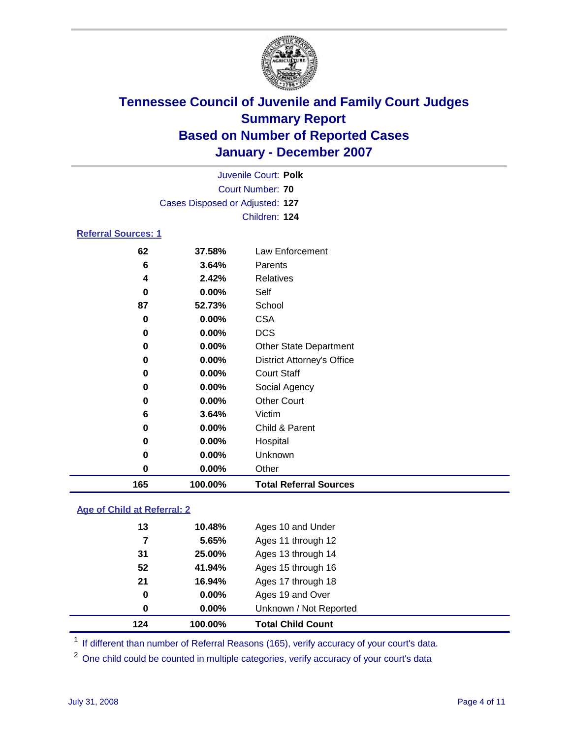

|                            |                                 | Juvenile Court: Polk              |  |  |  |  |
|----------------------------|---------------------------------|-----------------------------------|--|--|--|--|
|                            | Court Number: 70                |                                   |  |  |  |  |
|                            | Cases Disposed or Adjusted: 127 |                                   |  |  |  |  |
|                            |                                 | Children: 124                     |  |  |  |  |
| <b>Referral Sources: 1</b> |                                 |                                   |  |  |  |  |
| 62                         | 37.58%                          | Law Enforcement                   |  |  |  |  |
| 6                          | 3.64%                           | Parents                           |  |  |  |  |
| 4                          | 2.42%                           | Relatives                         |  |  |  |  |
| 0                          | $0.00\%$                        | Self                              |  |  |  |  |
| 87                         | 52.73%                          | School                            |  |  |  |  |
| 0                          | $0.00\%$                        | <b>CSA</b>                        |  |  |  |  |
| 0                          | $0.00\%$                        | <b>DCS</b>                        |  |  |  |  |
| 0                          | $0.00\%$                        | <b>Other State Department</b>     |  |  |  |  |
| 0                          | 0.00%                           | <b>District Attorney's Office</b> |  |  |  |  |
| 0                          | $0.00\%$                        | <b>Court Staff</b>                |  |  |  |  |
| 0                          | $0.00\%$                        | Social Agency                     |  |  |  |  |
| 0                          | $0.00\%$                        | <b>Other Court</b>                |  |  |  |  |
| 6                          | 3.64%                           | Victim                            |  |  |  |  |

| 165 | 100.00%  | <b>Total Referral Sources</b> |
|-----|----------|-------------------------------|
| 0   | $0.00\%$ | Other                         |
| 0   | $0.00\%$ | Unknown                       |
| 0   | $0.00\%$ | Hospital                      |
| 0   | $0.00\%$ | Child & Parent                |

### **Age of Child at Referral: 2**

| 124 | 100.00% | <b>Total Child Count</b> |
|-----|---------|--------------------------|
| 0   | 0.00%   | Unknown / Not Reported   |
| 0   | 0.00%   | Ages 19 and Over         |
| 21  | 16.94%  | Ages 17 through 18       |
| 52  | 41.94%  | Ages 15 through 16       |
| 31  | 25.00%  | Ages 13 through 14       |
| 7   | 5.65%   | Ages 11 through 12       |
| 13  | 10.48%  | Ages 10 and Under        |
|     |         |                          |

<sup>1</sup> If different than number of Referral Reasons (165), verify accuracy of your court's data.

One child could be counted in multiple categories, verify accuracy of your court's data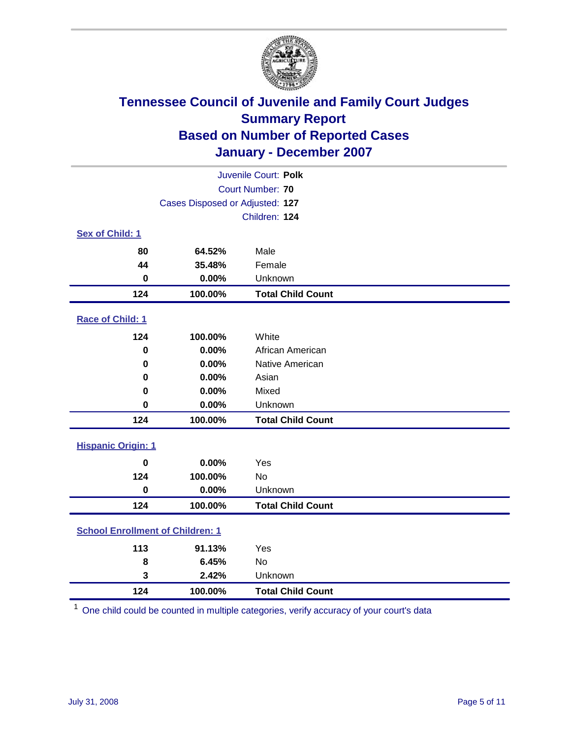

| Juvenile Court: Polk                    |                                 |                          |  |  |
|-----------------------------------------|---------------------------------|--------------------------|--|--|
|                                         | <b>Court Number: 70</b>         |                          |  |  |
|                                         | Cases Disposed or Adjusted: 127 |                          |  |  |
|                                         | Children: 124                   |                          |  |  |
| Sex of Child: 1                         |                                 |                          |  |  |
| 80                                      | 64.52%                          | Male                     |  |  |
| 44                                      | 35.48%                          | Female                   |  |  |
| $\bf{0}$                                | 0.00%                           | Unknown                  |  |  |
| 124                                     | 100.00%                         | <b>Total Child Count</b> |  |  |
| Race of Child: 1                        |                                 |                          |  |  |
| 124                                     | 100.00%                         | White                    |  |  |
| $\mathbf 0$                             | 0.00%                           | African American         |  |  |
| 0                                       | 0.00%                           | Native American          |  |  |
| 0                                       | 0.00%                           | Asian                    |  |  |
| 0                                       | 0.00%                           | Mixed                    |  |  |
| $\mathbf 0$                             | 0.00%                           | Unknown                  |  |  |
| 124                                     | 100.00%                         | <b>Total Child Count</b> |  |  |
| <b>Hispanic Origin: 1</b>               |                                 |                          |  |  |
| $\bf{0}$                                | 0.00%                           | Yes                      |  |  |
| 124                                     | 100.00%                         | No                       |  |  |
| $\mathbf 0$                             | 0.00%                           | Unknown                  |  |  |
| 124                                     | 100.00%                         | <b>Total Child Count</b> |  |  |
| <b>School Enrollment of Children: 1</b> |                                 |                          |  |  |
| 113                                     | 91.13%                          | Yes                      |  |  |
| 8                                       | 6.45%                           | No                       |  |  |
| 3                                       | 2.42%                           | Unknown                  |  |  |
| 124                                     | 100.00%                         | <b>Total Child Count</b> |  |  |

One child could be counted in multiple categories, verify accuracy of your court's data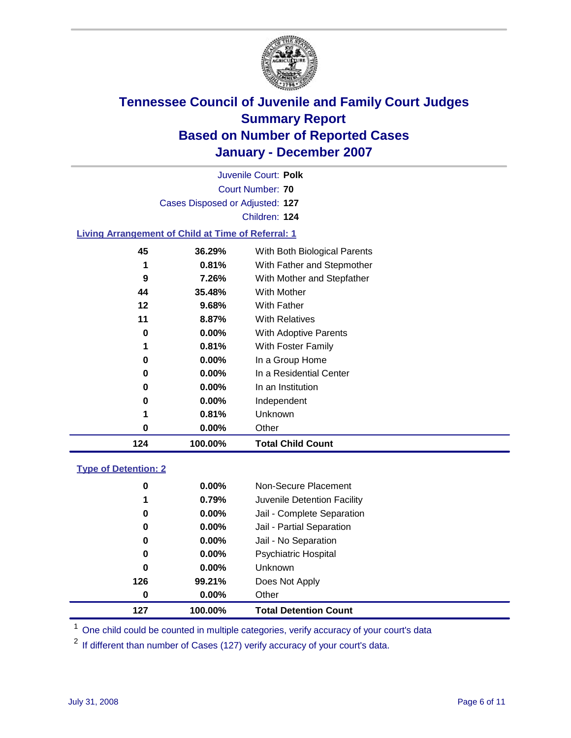

|                  |                                                           | Juvenile Court: Polk         |  |  |  |  |
|------------------|-----------------------------------------------------------|------------------------------|--|--|--|--|
| Court Number: 70 |                                                           |                              |  |  |  |  |
|                  | Cases Disposed or Adjusted: 127                           |                              |  |  |  |  |
|                  |                                                           | Children: 124                |  |  |  |  |
|                  | <b>Living Arrangement of Child at Time of Referral: 1</b> |                              |  |  |  |  |
| 45               | 36.29%                                                    | With Both Biological Parents |  |  |  |  |
| 1                | $0.81\%$                                                  | With Father and Stepmother   |  |  |  |  |
| 9                | 7.26%                                                     | With Mother and Stepfather   |  |  |  |  |
| 44               | 35.48%                                                    | With Mother                  |  |  |  |  |
| 12               | $9.68\%$                                                  | <b>With Father</b>           |  |  |  |  |
| 11               | 8.87%                                                     | <b>With Relatives</b>        |  |  |  |  |
| 0                | $0.00\%$                                                  | With Adoptive Parents        |  |  |  |  |
| 1                | 0.81%                                                     | With Foster Family           |  |  |  |  |
| 0                | $0.00\%$                                                  | In a Group Home              |  |  |  |  |
|                  | י ההה ה                                                   |                              |  |  |  |  |

| 124 | 100.00%  | <b>Total Child Count</b> |  |
|-----|----------|--------------------------|--|
| 0   | $0.00\%$ | Other                    |  |
|     | 0.81%    | Unknown                  |  |
| 0   | $0.00\%$ | Independent              |  |
| 0   | $0.00\%$ | In an Institution        |  |
|     | $0.00\%$ | In a Residential Center  |  |

### **Type of Detention: 2**

| 127 | 100.00%  | <b>Total Detention Count</b> |  |
|-----|----------|------------------------------|--|
| 0   | 0.00%    | Other                        |  |
| 126 | 99.21%   | Does Not Apply               |  |
| 0   | $0.00\%$ | <b>Unknown</b>               |  |
| 0   | $0.00\%$ | <b>Psychiatric Hospital</b>  |  |
| 0   | 0.00%    | Jail - No Separation         |  |
| 0   | $0.00\%$ | Jail - Partial Separation    |  |
| 0   | $0.00\%$ | Jail - Complete Separation   |  |
| 1   | 0.79%    | Juvenile Detention Facility  |  |
| 0   | $0.00\%$ | Non-Secure Placement         |  |
|     |          |                              |  |

<sup>1</sup> One child could be counted in multiple categories, verify accuracy of your court's data

<sup>2</sup> If different than number of Cases (127) verify accuracy of your court's data.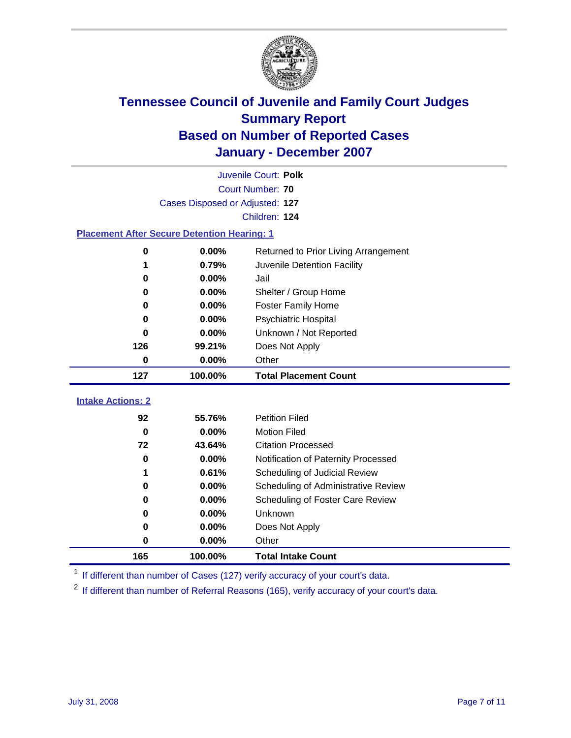

|                          | Juvenile Court: Polk                               |                                              |  |  |  |  |
|--------------------------|----------------------------------------------------|----------------------------------------------|--|--|--|--|
|                          | Court Number: 70                                   |                                              |  |  |  |  |
|                          | Cases Disposed or Adjusted: 127                    |                                              |  |  |  |  |
|                          | Children: 124                                      |                                              |  |  |  |  |
|                          | <b>Placement After Secure Detention Hearing: 1</b> |                                              |  |  |  |  |
| $\bf{0}$                 | 0.00%                                              | Returned to Prior Living Arrangement         |  |  |  |  |
| 1                        | 0.79%                                              | Juvenile Detention Facility                  |  |  |  |  |
| 0                        | 0.00%                                              | Jail                                         |  |  |  |  |
| 0                        | 0.00%                                              | Shelter / Group Home                         |  |  |  |  |
| 0                        | 0.00%                                              | <b>Foster Family Home</b>                    |  |  |  |  |
| 0                        | 0.00%                                              | <b>Psychiatric Hospital</b>                  |  |  |  |  |
| 0                        | 0.00%                                              | Unknown / Not Reported                       |  |  |  |  |
| 126                      | 99.21%                                             | Does Not Apply                               |  |  |  |  |
| 0                        | 0.00%                                              | Other                                        |  |  |  |  |
| 127                      | 100.00%                                            | <b>Total Placement Count</b>                 |  |  |  |  |
|                          |                                                    |                                              |  |  |  |  |
|                          |                                                    |                                              |  |  |  |  |
| <b>Intake Actions: 2</b> |                                                    |                                              |  |  |  |  |
| 92<br>$\bf{0}$           | 55.76%<br>0.00%                                    | <b>Petition Filed</b><br><b>Motion Filed</b> |  |  |  |  |
| 72                       | 43.64%                                             | <b>Citation Processed</b>                    |  |  |  |  |
| $\bf{0}$                 | 0.00%                                              | Notification of Paternity Processed          |  |  |  |  |
| 1                        | 0.61%                                              | Scheduling of Judicial Review                |  |  |  |  |
| $\bf{0}$                 | 0.00%                                              | Scheduling of Administrative Review          |  |  |  |  |
| 0                        | 0.00%                                              | Scheduling of Foster Care Review             |  |  |  |  |
| $\bf{0}$                 | 0.00%                                              | Unknown                                      |  |  |  |  |
| 0                        | 0.00%                                              | Does Not Apply                               |  |  |  |  |
| 0                        | 0.00%                                              | Other                                        |  |  |  |  |

<sup>1</sup> If different than number of Cases (127) verify accuracy of your court's data.

<sup>2</sup> If different than number of Referral Reasons (165), verify accuracy of your court's data.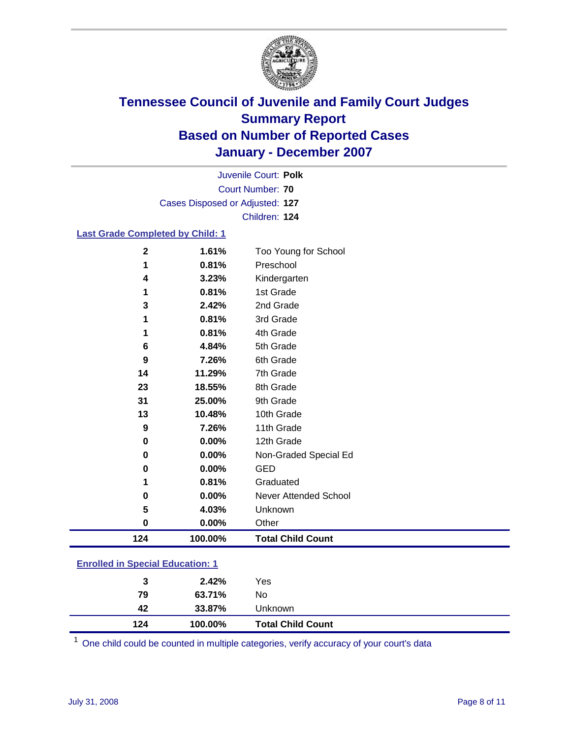

Court Number: **70** Juvenile Court: **Polk** Cases Disposed or Adjusted: **127** Children: **124**

### **Last Grade Completed by Child: 1**

| 124              | 100.00% | <b>Total Child Count</b> |
|------------------|---------|--------------------------|
| 0                | 0.00%   | Other                    |
| 5                | 4.03%   | Unknown                  |
| 0                | 0.00%   | Never Attended School    |
| 1                | 0.81%   | Graduated                |
| 0                | 0.00%   | <b>GED</b>               |
| 0                | 0.00%   | Non-Graded Special Ed    |
| 0                | 0.00%   | 12th Grade               |
| 9                | 7.26%   | 11th Grade               |
| 13               | 10.48%  | 10th Grade               |
| 31               | 25.00%  | 9th Grade                |
| 23               | 18.55%  | 8th Grade                |
| 14               | 11.29%  | 7th Grade                |
| $\boldsymbol{9}$ | 7.26%   | 6th Grade                |
| 6                | 4.84%   | 5th Grade                |
| 1                | 0.81%   | 4th Grade                |
| 1                | 0.81%   | 3rd Grade                |
| 3                | 2.42%   | 2nd Grade                |
| 1                | 0.81%   | 1st Grade                |
| 4                | 3.23%   | Kindergarten             |
| 1                | 0.81%   | Preschool                |
| $\mathbf 2$      | 1.61%   | Too Young for School     |

### **Enrolled in Special Education: 1**

| 124 | 100.00% | <b>Total Child Count</b> |  |
|-----|---------|--------------------------|--|
| 42  | 33.87%  | Unknown                  |  |
| 79  | 63.71%  | No                       |  |
| 3   | 2.42%   | Yes                      |  |
|     |         |                          |  |

<sup>1</sup> One child could be counted in multiple categories, verify accuracy of your court's data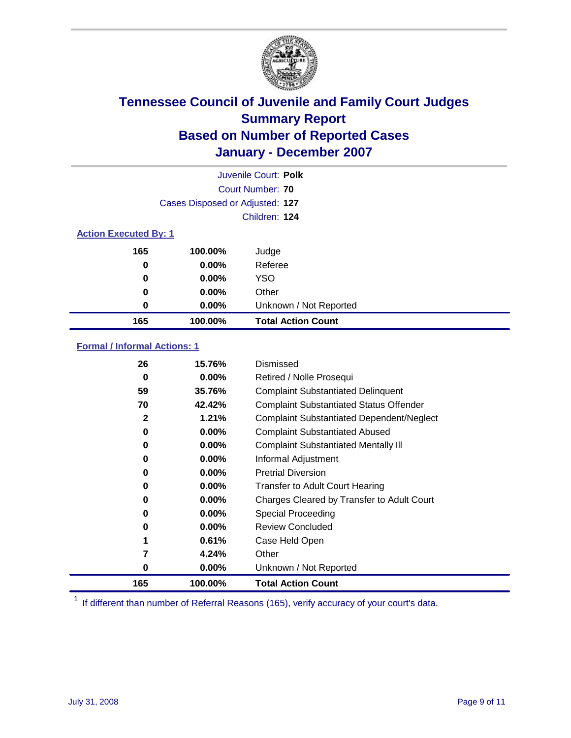

|                              |                                 | Juvenile Court: Polk      |
|------------------------------|---------------------------------|---------------------------|
|                              |                                 | Court Number: 70          |
|                              | Cases Disposed or Adjusted: 127 |                           |
|                              |                                 | Children: 124             |
| <b>Action Executed By: 1</b> |                                 |                           |
| 165                          | 100.00%                         | Judge                     |
| 0                            | $0.00\%$                        | Referee                   |
| 0                            | 0.00%                           | <b>YSO</b>                |
| 0                            | $0.00\%$                        | Other                     |
| 0                            | 0.00%                           | Unknown / Not Reported    |
| 165                          | 100.00%                         | <b>Total Action Count</b> |

### **Formal / Informal Actions: 1**

| 26           | 15.76%   | Dismissed                                        |
|--------------|----------|--------------------------------------------------|
| 0            | $0.00\%$ | Retired / Nolle Prosequi                         |
| 59           | 35.76%   | <b>Complaint Substantiated Delinquent</b>        |
| 70           | 42.42%   | <b>Complaint Substantiated Status Offender</b>   |
| $\mathbf{2}$ | 1.21%    | <b>Complaint Substantiated Dependent/Neglect</b> |
| 0            | $0.00\%$ | <b>Complaint Substantiated Abused</b>            |
| 0            | $0.00\%$ | <b>Complaint Substantiated Mentally III</b>      |
| 0            | $0.00\%$ | Informal Adjustment                              |
| 0            | $0.00\%$ | <b>Pretrial Diversion</b>                        |
| 0            | $0.00\%$ | <b>Transfer to Adult Court Hearing</b>           |
| 0            | $0.00\%$ | Charges Cleared by Transfer to Adult Court       |
| 0            | $0.00\%$ | Special Proceeding                               |
| 0            | $0.00\%$ | <b>Review Concluded</b>                          |
| 1            | 0.61%    | Case Held Open                                   |
| 7            | 4.24%    | Other                                            |
| 0            | 0.00%    | Unknown / Not Reported                           |
| 165          | 100.00%  | <b>Total Action Count</b>                        |

<sup>1</sup> If different than number of Referral Reasons (165), verify accuracy of your court's data.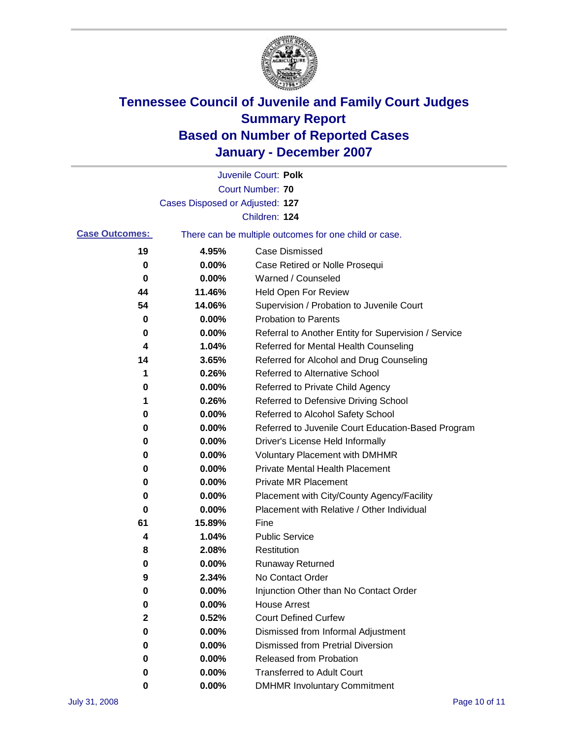

|                       |                                 | Juvenile Court: Polk                                  |
|-----------------------|---------------------------------|-------------------------------------------------------|
|                       |                                 | <b>Court Number: 70</b>                               |
|                       | Cases Disposed or Adjusted: 127 |                                                       |
|                       |                                 | Children: 124                                         |
| <b>Case Outcomes:</b> |                                 | There can be multiple outcomes for one child or case. |
| 19                    | 4.95%                           | <b>Case Dismissed</b>                                 |
| 0                     | 0.00%                           | Case Retired or Nolle Prosequi                        |
| 0                     | 0.00%                           | Warned / Counseled                                    |
| 44                    | 11.46%                          | <b>Held Open For Review</b>                           |
| 54                    | 14.06%                          | Supervision / Probation to Juvenile Court             |
| 0                     | 0.00%                           | <b>Probation to Parents</b>                           |
| 0                     | 0.00%                           | Referral to Another Entity for Supervision / Service  |
| 4                     | 1.04%                           | Referred for Mental Health Counseling                 |
| 14                    | 3.65%                           | Referred for Alcohol and Drug Counseling              |
| 1                     | 0.26%                           | Referred to Alternative School                        |
| 0                     | 0.00%                           | Referred to Private Child Agency                      |
| 1                     | 0.26%                           | Referred to Defensive Driving School                  |
| 0                     | 0.00%                           | Referred to Alcohol Safety School                     |
| 0                     | 0.00%                           | Referred to Juvenile Court Education-Based Program    |
| 0                     | 0.00%                           | Driver's License Held Informally                      |
| 0                     | 0.00%                           | <b>Voluntary Placement with DMHMR</b>                 |
| 0                     | 0.00%                           | <b>Private Mental Health Placement</b>                |
| 0                     | 0.00%                           | <b>Private MR Placement</b>                           |
| 0                     | 0.00%                           | Placement with City/County Agency/Facility            |
| 0                     | 0.00%                           | Placement with Relative / Other Individual            |
| 61                    | 15.89%                          | Fine                                                  |
| 4                     | 1.04%                           | <b>Public Service</b>                                 |
| 8                     | 2.08%                           | Restitution                                           |
| 0                     | 0.00%                           | <b>Runaway Returned</b>                               |
| 9                     | 2.34%                           | No Contact Order                                      |
| 0                     | 0.00%                           | Injunction Other than No Contact Order                |
| 0                     | 0.00%                           | <b>House Arrest</b>                                   |
| 2                     | 0.52%                           | <b>Court Defined Curfew</b>                           |
| 0                     | 0.00%                           | Dismissed from Informal Adjustment                    |
| 0                     | 0.00%                           | <b>Dismissed from Pretrial Diversion</b>              |
| 0                     | 0.00%                           | Released from Probation                               |
| 0                     | 0.00%                           | <b>Transferred to Adult Court</b>                     |
| 0                     | 0.00%                           | <b>DMHMR Involuntary Commitment</b>                   |